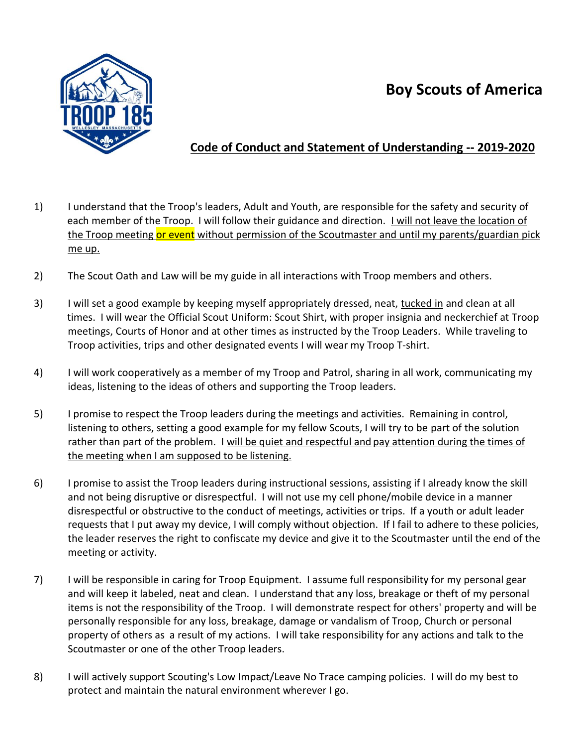## **Boy Scouts of America**



## **Code of Conduct and Statement of Understanding -- 2019-2020**

- 1) I understand that the Troop's leaders, Adult and Youth, are responsible for the safety and security of each member of the Troop. I will follow their guidance and direction. I will not leave the location of the Troop meeting or event without permission of the Scoutmaster and until my parents/guardian pick me up.
- 2) The Scout Oath and Law will be my guide in all interactions with Troop members and others.
- 3) I will set a good example by keeping myself appropriately dressed, neat, tucked in and clean at all times. I will wear the Official Scout Uniform: Scout Shirt, with proper insignia and neckerchief at Troop meetings, Courts of Honor and at other times as instructed by the Troop Leaders. While traveling to Troop activities, trips and other designated events I will wear my Troop T-shirt.
- 4) I will work cooperatively as a member of my Troop and Patrol, sharing in all work, communicating my ideas, listening to the ideas of others and supporting the Troop leaders.
- 5) I promise to respect the Troop leaders during the meetings and activities. Remaining in control, listening to others, setting a good example for my fellow Scouts, I will try to be part of the solution rather than part of the problem. I will be quiet and respectful and pay attention during the times of the meeting when I am supposed to be listening.
- 6) I promise to assist the Troop leaders during instructional sessions, assisting if I already know the skill and not being disruptive or disrespectful. I will not use my cell phone/mobile device in a manner disrespectful or obstructive to the conduct of meetings, activities or trips. If a youth or adult leader requests that I put away my device, I will comply without objection. If I fail to adhere to these policies, the leader reserves the right to confiscate my device and give it to the Scoutmaster until the end of the meeting or activity.
- 7) I will be responsible in caring for Troop Equipment. I assume full responsibility for my personal gear and will keep it labeled, neat and clean. I understand that any loss, breakage or theft of my personal items is not the responsibility of the Troop. I will demonstrate respect for others' property and will be personally responsible for any loss, breakage, damage or vandalism of Troop, Church or personal property of others as a result of my actions. I will take responsibility for any actions and talk to the Scoutmaster or one of the other Troop leaders.
- 8) I will actively support Scouting's Low Impact/Leave No Trace camping policies. I will do my best to protect and maintain the natural environment wherever I go.